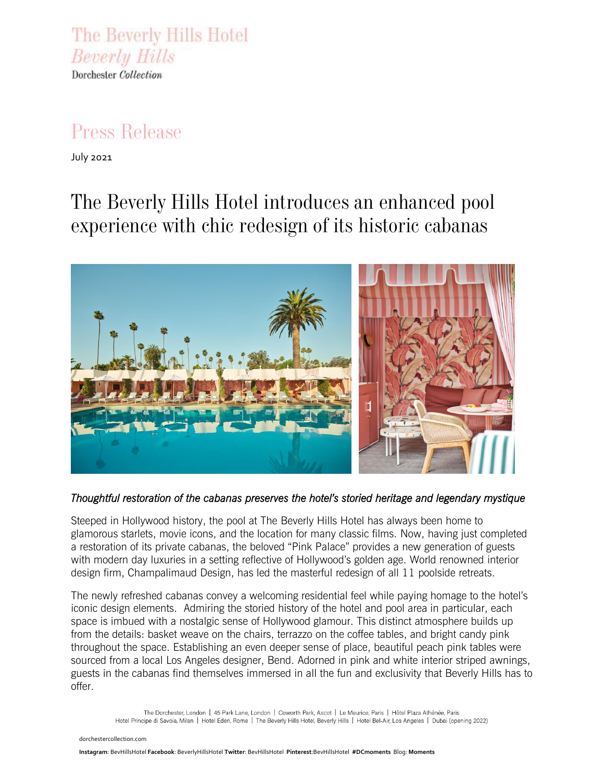The Beverly Hills Hotel **Beverly Hills** Dorchester Collection

## *Press Release*

July 2021

# *The Beverly Hills Hotel introduces an enhanced pool experience with chic redesign of its historic cabanas*



*Thoughtful restoration of the cabanas preserves the hotel's storied heritage and legendary mystique* 

Steeped in Hollywood history, the pool at The Beverly Hills Hotel has always been home to glamorous starlets, movie icons, and the location for many classic films. Now, having just completed a restoration of its private cabanas, the beloved "Pink Palace" provides a new generation of guests with modern day luxuries in a setting reflective of Hollywood's golden age. World renowned interior design firm, Champalimaud Design, has led the masterful redesign of all 11 poolside retreats.

The newly refreshed cabanas convey a welcoming residential feel while paying homage to the hotel's iconic design elements. Admiring the storied history of the hotel and pool area in particular, each space is imbued with a nostalgic sense of Hollywood glamour. This distinct atmosphere builds up from the details: basket weave on the chairs, terrazzo on the coffee tables, and bright candy pink throughout the space. Establishing an even deeper sense of place, beautiful peach pink tables were sourced from a local Los Angeles designer, Bend. Adorned in pink and white interior striped awnings, guests in the cabanas find themselves immersed in all the fun and exclusivity that Beverly Hills has to offer.

The Dorchester, London | 45 Park Lane, London | Coworth Park, Ascot | Le Meurice, Paris | Hôtel Plaza Athénée, Paris Hotel Principe di Savoia, Milan | Hotel Eden, Rome | The Beverly Hills Hotel, Beverly Hills | Hotel Bel-Air, Los Angeles | Dubai (opening 2022)

[dorchestercollection.com](https://www.instagram.com/45parklane/)